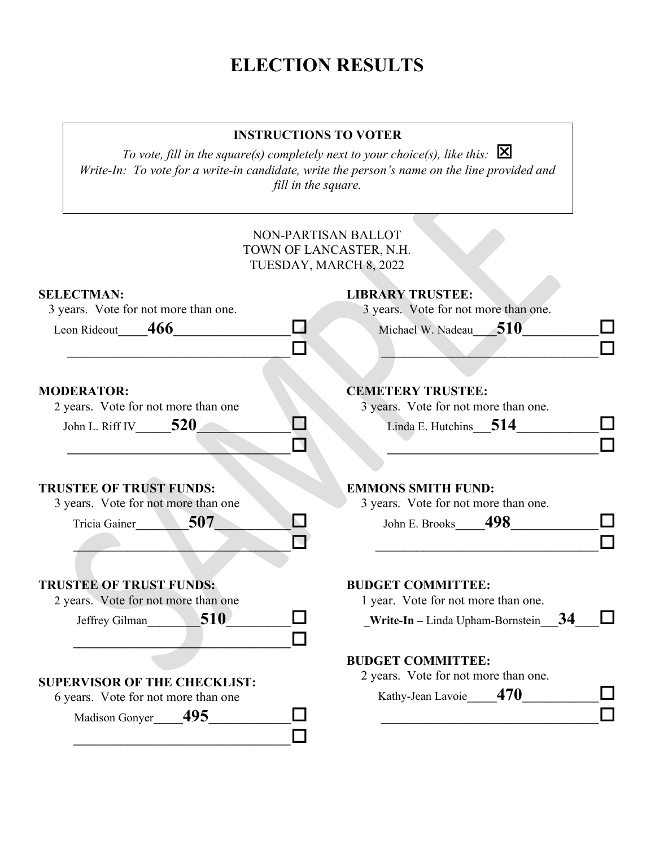# ELECTION RESULTS

### INSTRUCTIONS TO VOTER

To vote, fill in the square(s) completely next to your choice(s), like this:  $\boxtimes$ Write-In: To vote for a write-in candidate, write the person's name on the line provided and fill in the square.